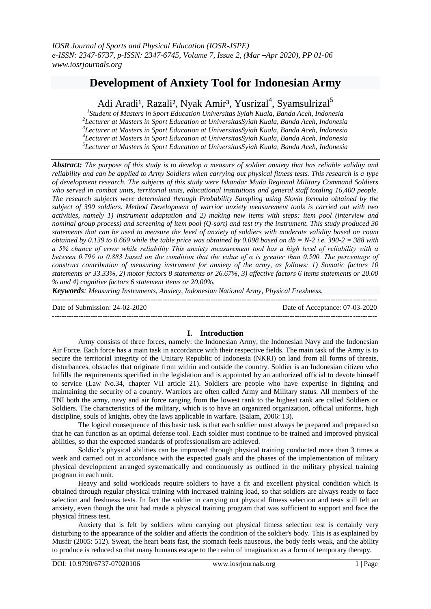# **Development of Anxiety Tool for Indonesian Army**

Adi Aradi<sup>1</sup>, Razali<sup>2</sup>, Nyak Amir<sup>3</sup>, Yusrizal<sup>4</sup>, Syamsulrizal<sup>5</sup>

 *Student of Masters in Sport Education Universitas Syiah Kuala, Banda Aceh, Indonesia Lecturer at Masters in Sport Education at UniversitasSyiah Kuala, Banda Aceh, Indonesia Lecturer at Masters in Sport Education at UniversitasSyiah Kuala, Banda Aceh, Indonesia Lecturer at Masters in Sport Education at UniversitasSyiah Kuala, Banda Aceh, Indonesia Lecturer at Masters in Sport Education at UniversitasSyiah Kuala, Banda Aceh, Indonesia*

*Abstract: The purpose of this study is to develop a measure of soldier anxiety that has reliable validity and reliability and can be applied to Army Soldiers when carrying out physical fitness tests. This research is a type of development research. The subjects of this study were Iskandar Muda Regional Military Command Soldiers who served in combat units, territorial units, educational institutions and general staff totaling 16,400 people. The research subjects were determined through Probability Sampling using Slovin formula obtained by the subject of 390 soldiers. Method Development of warrior anxiety measurement tools is carried out with two activities, namely 1) instrument adaptation and 2) making new items with steps: item pool (interview and nominal group process) and screening of item pool (Q-sort) and test try the instrument. This study produced 30 statements that can be used to measure the level of anxiety of soldiers with moderate validity based on count obtained by 0.139 to 0.669 while the table price was obtained by 0.098 based on db = N-2 i.e. 390-2 = 388 with a 5% chance of error while reliability This anxiety measurement tool has a high level of reliability with α between 0.796 to 0.883 based on the condition that the value of α is greater than 0.500. The percentage of construct contribution of measuring instrument for anxiety of the army, as follows: 1) Somatic factors 10 statements or 33.33%, 2) motor factors 8 statements or 26.67%, 3) affective factors 6 items statements or 20.00 % and 4) cognitive factors 6 statement items or 20.00%.*

*Keywords: Measuring Instruments, Anxiety, Indonesian National Army, Physical Freshness.* ---------------------------------------------------------------------------------------------------------------------------------------

Date of Submission: 24-02-2020 Date of Acceptance: 07-03-2020

## **I. Introduction**

Army consists of three forces, namely: the Indonesian Army, the Indonesian Navy and the Indonesian Air Force. Each force has a main task in accordance with their respective fields. The main task of the Army is to secure the territorial integrity of the Unitary Republic of Indonesia (NKRI) on land from all forms of threats, disturbances, obstacles that originate from within and outside the country. Soldier is an Indonesian citizen who fulfills the requirements specified in the legislation and is appointed by an authorized official to devote himself to service (Law No.34, chapter VII article 21). Soldiers are people who have expertise in fighting and maintaining the security of a country. Warriors are often called Army and Military status. All members of the TNI both the army, navy and air force ranging from the lowest rank to the highest rank are called Soldiers or Soldiers. The characteristics of the military, which is to have an organized organization, official uniforms, high discipline, souls of knights, obey the laws applicable in warfare. (Salam, 2006: 13).

The logical consequence of this basic task is that each soldier must always be prepared and prepared so that he can function as an optimal defense tool. Each soldier must continue to be trained and improved physical abilities, so that the expected standards of professionalism are achieved.

Soldier's physical abilities can be improved through physical training conducted more than 3 times a week and carried out in accordance with the expected goals and the phases of the implementation of military physical development arranged systematically and continuously as outlined in the military physical training program in each unit.

Heavy and solid workloads require soldiers to have a fit and excellent physical condition which is obtained through regular physical training with increased training load, so that soldiers are always ready to face selection and freshness tests. In fact the soldier in carrying out physical fitness selection and tests still felt an anxiety, even though the unit had made a physical training program that was sufficient to support and face the physical fitness test.

Anxiety that is felt by soldiers when carrying out physical fitness selection test is certainly very disturbing to the appearance of the soldier and affects the condition of the soldier's body. This is as explained by Musfir (2005: 512). Sweat, the heart beats fast, the stomach feels nauseous, the body feels weak, and the ability to produce is reduced so that many humans escape to the realm of imagination as a form of temporary therapy.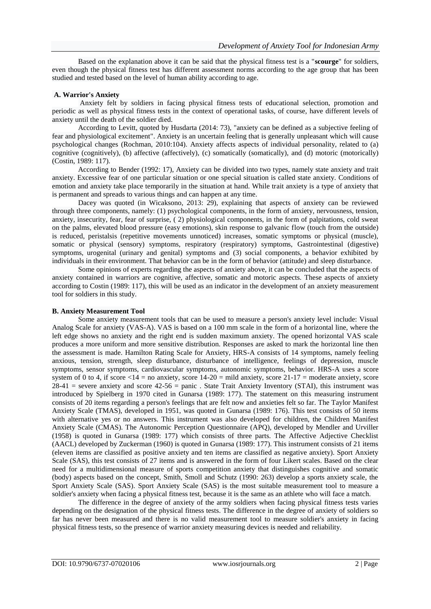Based on the explanation above it can be said that the physical fitness test is a "**scourge**" for soldiers, even though the physical fitness test has different assessment norms according to the age group that has been studied and tested based on the level of human ability according to age.

### **A. Warrior's Anxiety**

Anxiety felt by soldiers in facing physical fitness tests of educational selection, promotion and periodic as well as physical fitness tests in the context of operational tasks, of course, have different levels of anxiety until the death of the soldier died.

According to Levitt, quoted by Husdarta (2014: 73), "anxiety can be defined as a subjective feeling of fear and physiological excitement". Anxiety is an uncertain feeling that is generally unpleasant which will cause psychological changes (Rochman, 2010:104). Anxiety affects aspects of individual personality, related to (a) cognitive (cognitively), (b) affective (affectively), (c) somatically (somatically), and (d) motoric (motorically) (Costin, 1989: 117).

According to Bender (1992: 17), Anxiety can be divided into two types, namely state anxiety and trait anxiety. Excessive fear of one particular situation or one special situation is called state anxiety. Conditions of emotion and anxiety take place temporarily in the situation at hand. While trait anxiety is a type of anxiety that is permanent and spreads to various things and can happen at any time.

Dacey was quoted (in Wicaksono, 2013: 29), explaining that aspects of anxiety can be reviewed through three components, namely: (1) psychological components, in the form of anxiety, nervousness, tension, anxiety, insecurity, fear, fear of surprise, ( 2) physiological components, in the form of palpitations, cold sweat on the palms, elevated blood pressure (easy emotions), skin response to galvanic flow (touch from the outside) is reduced, peristalsis (repetitive movements unnoticed) increases, somatic symptoms or physical (muscle), somatic or physical (sensory) symptoms, respiratory (respiratory) symptoms, Gastrointestinal (digestive) symptoms, urogenital (urinary and genital) symptoms and (3) social components, a behavior exhibited by individuals in their environment. That behavior can be in the form of behavior (attitude) and sleep disturbance.

Some opinions of experts regarding the aspects of anxiety above, it can be concluded that the aspects of anxiety contained in warriors are cognitive, affective, somatic and motoric aspects. These aspects of anxiety according to Costin (1989: 117), this will be used as an indicator in the development of an anxiety measurement tool for soldiers in this study.

#### **B. Anxiety Measurement Tool**

Some anxiety measurement tools that can be used to measure a person's anxiety level include: Visual Analog Scale for anxiety (VAS-A). VAS is based on a 100 mm scale in the form of a horizontal line, where the left edge shows no anxiety and the right end is sudden maximum anxiety. The opened horizontal VAS scale produces a more uniform and more sensitive distribution. Responses are asked to mark the horizontal line then the assessment is made. Hamilton Rating Scale for Anxiety, HRS-A consists of 14 symptoms, namely feeling anxious, tension, strength, sleep disturbance, disturbance of intelligence, feelings of depression, muscle symptoms, sensor symptoms, cardiovascular symptoms, autonomic symptoms, behavior. HRS-A uses a score system of 0 to 4, if score  $\langle 14 =$  no anxiety, score  $14-20 =$  mild anxiety, score  $21-17 =$  moderate anxiety, score 28-41 = severe anxiety and score 42-56 = panic . State Trait Anxiety Inventory (STAI), this instrument was introduced by Spielberg in 1970 cited in Gunarsa (1989: 177). The statement on this measuring instrument consists of 20 items regarding a person's feelings that are felt now and anxieties felt so far. The Taylor Manifest Anxiety Scale (TMAS), developed in 1951, was quoted in Gunarsa (1989: 176). This test consists of 50 items with alternative yes or no answers. This instrument was also developed for children, the Children Manifest Anxiety Scale (CMAS). The Autonomic Perception Questionnaire (APQ), developed by Mendler and Urviller (1958) is quoted in Gunarsa (1989: 177) which consists of three parts. The Affective Adjective Checklist (AACL) developed by Zuckerman (1960) is quoted in Gunarsa (1989: 177). This instrument consists of 21 items (eleven items are classified as positive anxiety and ten items are classified as negative anxiety). Sport Anxiety Scale (SAS), this test consists of 27 items and is answered in the form of four Likert scales. Based on the clear need for a multidimensional measure of sports competition anxiety that distinguishes cognitive and somatic (body) aspects based on the concept, Smith, Smoll and Schutz (1990: 263) develop a sports anxiety scale, the Sport Anxiety Scale (SAS). Sport Anxiety Scale (SAS) is the most suitable measurement tool to measure a soldier's anxiety when facing a physical fitness test, because it is the same as an athlete who will face a match.

The difference in the degree of anxiety of the army soldiers when facing physical fitness tests varies depending on the designation of the physical fitness tests. The difference in the degree of anxiety of soldiers so far has never been measured and there is no valid measurement tool to measure soldier's anxiety in facing physical fitness tests, so the presence of warrior anxiety measuring devices is needed and reliability.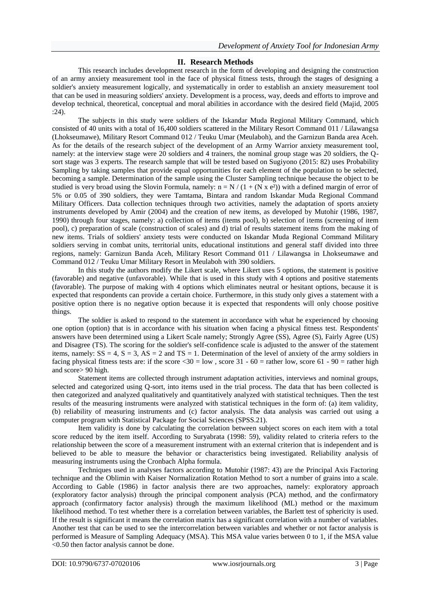## **II. Research Methods**

This research includes development research in the form of developing and designing the construction of an army anxiety measurement tool in the face of physical fitness tests, through the stages of designing a soldier's anxiety measurement logically, and systematically in order to establish an anxiety measurement tool that can be used in measuring soldiers' anxiety. Development is a process, way, deeds and efforts to improve and develop technical, theoretical, conceptual and moral abilities in accordance with the desired field (Majid, 2005 :24).

The subjects in this study were soldiers of the Iskandar Muda Regional Military Command, which consisted of 40 units with a total of 16,400 soldiers scattered in the Military Resort Command 011 / Lilawangsa (Lhokseumawe), Military Resort Command 012 / Teuku Umar (Meulaboh), and the Garnizun Banda area Aceh. As for the details of the research subject of the development of an Army Warrior anxiety measurement tool, namely: at the interview stage were 20 soldiers and 4 trainers, the nominal group stage was 20 soldiers, the Qsort stage was 3 experts. The research sample that will be tested based on Sugiyono (2015: 82) uses Probability Sampling by taking samples that provide equal opportunities for each element of the population to be selected, becoming a sample. Determination of the sample using the Cluster Sampling technique because the object to be studied is very broad using the Slovin Formula, namely:  $n = N / (1 + (N \times e^2))$  with a defined margin of error of 5% or 0.05 of 390 soldiers, they were Tamtama, Bintara and random Iskandar Muda Regional Command Military Officers. Data collection techniques through two activities, namely the adaptation of sports anxiety instruments developed by Amir (2004) and the creation of new items, as developed by Mutohir (1986, 1987, 1990) through four stages, namely: a) collection of items (items pool), b) selection of items (screening of item pool), c) preparation of scale (construction of scales) and d) trial of results statement items from the making of new items. Trials of soldiers' anxiety tests were conducted on Iskandar Muda Regional Command Military soldiers serving in combat units, territorial units, educational institutions and general staff divided into three regions, namely: Garnizun Banda Aceh, Military Resort Command 011 / Lilawangsa in Lhokseumawe and Command 012 / Teuku Umar Military Resort in Meulaboh with 390 soldiers.

In this study the authors modify the Likert scale, where Likert uses 5 options, the statement is positive (favorable) and negative (unfavorable). While that is used in this study with 4 options and positive statements (favorable). The purpose of making with 4 options which eliminates neutral or hesitant options, because it is expected that respondents can provide a certain choice. Furthermore, in this study only gives a statement with a positive option there is no negative option because it is expected that respondents will only choose positive things.

The soldier is asked to respond to the statement in accordance with what he experienced by choosing one option (option) that is in accordance with his situation when facing a physical fitness test. Respondents' answers have been determined using a Likert Scale namely; Strongly Agree (SS), Agree (S), Fairly Agree (US) and Disagree (TS). The scoring for the soldier's self-confidence scale is adjusted to the answer of the statement items, namely:  $SS = 4$ ,  $S = 3$ ,  $AS = 2$  and  $TS = 1$ . Determination of the level of anxiety of the army soldiers in facing physical fitness tests are: if the score  $\langle 30 = 0 \rangle$ , score 31 - 60 = rather low, score 61 - 90 = rather high and score> 90 high.

Statement items are collected through instrument adaptation activities, interviews and nominal groups, selected and categorized using Q-sort, into items used in the trial process. The data that has been collected is then categorized and analyzed qualitatively and quantitatively analyzed with statistical techniques. Then the test results of the measuring instruments were analyzed with statistical techniques in the form of: (a) item validity, (b) reliability of measuring instruments and (c) factor analysis. The data analysis was carried out using a computer program with Statistical Package for Social Sciences (SPSS.21).

Item validity is done by calculating the correlation between subject scores on each item with a total score reduced by the item itself. According to Suryabrata (1998: 59), validity related to criteria refers to the relationship between the score of a measurement instrument with an external criterion that is independent and is believed to be able to measure the behavior or characteristics being investigated. Reliability analysis of measuring instruments using the Cronbach Alpha formula.

Techniques used in analyses factors according to Mutohir (1987: 43) are the Principal Axis Factoring technique and the Oblimin with Kaiser Normalization Rotation Method to sort a number of grains into a scale. According to Gable (1986) in factor analysis there are two approaches, namely: exploratory approach (exploratory factor analysis) through the principal component analysis (PCA) method, and the confirmatory approach (confirmatory factor analysis) through the maximum likelihood (ML) method or the maximum likelihood method. To test whether there is a correlation between variables, the Barlett test of sphericity is used. If the result is significant it means the correlation matrix has a significant correlation with a number of variables. Another test that can be used to see the intercorrelation between variables and whether or not factor analysis is performed is Measure of Sampling Adequacy (MSA). This MSA value varies between 0 to 1, if the MSA value <0.50 then factor analysis cannot be done.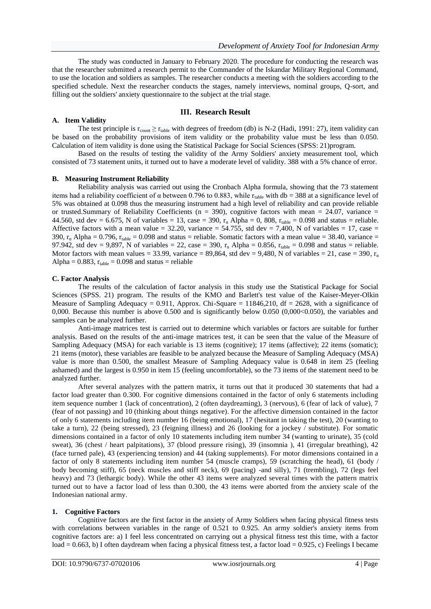The study was conducted in January to February 2020. The procedure for conducting the research was that the researcher submitted a research permit to the Commander of the Iskandar Military Regional Command, to use the location and soldiers as samples. The researcher conducts a meeting with the soldiers according to the specified schedule. Next the researcher conducts the stages, namely interviews, nominal groups, Q-sort, and filling out the soldiers' anxiety questionnaire to the subject at the trial stage.

#### **III. Research Result**

#### **A. Item Validity**

The test principle is  $r_{\text{count}} \ge r_{\text{table}}$  with degrees of freedom (db) is N-2 (Hadi, 1991: 27), item validity can be based on the probability provisions of item validity or the probability value must be less than 0.050. Calculation of item validity is done using the Statistical Package for Social Sciences (SPSS: 21)program.

Based on the results of testing the validity of the Army Soldiers' anxiety measurement tool, which consisted of 73 statement units, it turned out to have a moderate level of validity. 388 with a 5% chance of error.

#### **B. Measuring Instrument Reliability**

Reliability analysis was carried out using the Cronbach Alpha formula, showing that the 73 statement items had a reliability coefficient of  $\alpha$  between 0.796 to 0.883, while r<sub>table</sub> with db = 388 at a significance level of 5% was obtained at 0.098 thus the measuring instrument had a high level of reliability and can provide reliable or trusted. Summary of Reliability Coefficients ( $n = 390$ ), cognitive factors with mean = 24.07, variance = 44.560, std dev = 6.675, N of variables = 13, case = 390,  $r_n$  Alpha = 0, 808,  $r_{table}$  = 0.098 and status = reliable. Affective factors with a mean value = 32.20, variance = 54.755, std dev = 7,400, N of variables = 17, case = 390,  $r_n$  Alpha = 0.796,  $r_{table} = 0.098$  and status = reliable. Somatic factors with a mean value = 38.40, variance = 97.942, std dev = 9,897, N of variables = 22, case = 390,  $r_n$  Alpha = 0.856,  $r_{table}$  = 0.098 and status = reliable. Motor factors with mean values = 33.99, variance = 89,864, std dev = 9,480, N of variables = 21, case = 390,  $r_n$ Alpha =  $0.883$ ,  $r_{table} = 0.098$  and status = reliable

#### **C. Factor Analysis**

The results of the calculation of factor analysis in this study use the Statistical Package for Social Sciences (SPSS. 21) program. The results of the KMO and Barlett's test value of the Kaiser-Meyer-Olkin Measure of Sampling Adequacy = 0.911, Approx. Chi-Square = 11846,210, df = 2628, with a significance of 0,000. Because this number is above 0.500 and is significantly below 0.050 (0,000 < 0.050), the variables and samples can be analyzed further.

Anti-image matrices test is carried out to determine which variables or factors are suitable for further analysis. Based on the results of the anti-image matrices test, it can be seen that the value of the Measure of Sampling Adequacy (MSA) for each variable is 13 items (cognitive); 17 items (affective); 22 items (somatic); 21 items (motor), these variables are feasible to be analyzed because the Measure of Sampling Adequacy (MSA) value is more than 0.500, the smallest Measure of Sampling Adequacy value is 0.648 in item 25 (feeling ashamed) and the largest is 0.950 in item 15 (feeling uncomfortable), so the 73 items of the statement need to be analyzed further.

After several analyzes with the pattern matrix, it turns out that it produced 30 statements that had a factor load greater than 0.300. For cognitive dimensions contained in the factor of only 6 statements including item sequence number 1 (lack of concentration), 2 (often daydreaming), 3 (nervous), 6 (fear of lack of value), 7 (fear of not passing) and 10 (thinking about things negative). For the affective dimension contained in the factor of only 6 statements including item number 16 (being emotional), 17 (hesitant in taking the test), 20 (wanting to take a turn), 22 (being stressed), 23 (feigning illness) and 26 (looking for a jockey / substitute). For somatic dimensions contained in a factor of only 10 statements including item number 34 (wanting to urinate), 35 (cold sweat), 36 (chest / heart palpitations), 37 (blood pressure rising), 39 (insomnia ), 41 (irregular breathing), 42 (face turned pale), 43 (experiencing tension) and 44 (taking supplements). For motor dimensions contained in a factor of only 8 statements including item number 54 (muscle cramps), 59 (scratching the head), 61 (body / body becoming stiff), 65 (neck muscles and stiff neck), 69 (pacing) -and silly), 71 (trembling), 72 (legs feel heavy) and 73 (lethargic body). While the other 43 items were analyzed several times with the pattern matrix turned out to have a factor load of less than 0.300, the 43 items were aborted from the anxiety scale of the Indonesian national army.

#### **1. Cognitive Factors**

Cognitive factors are the first factor in the anxiety of Army Soldiers when facing physical fitness tests with correlations between variables in the range of 0.521 to 0.925. An army soldier's anxiety items from cognitive factors are: a) I feel less concentrated on carrying out a physical fitness test this time, with a factor load =  $0.663$ , b) I often daydream when facing a physical fitness test, a factor load =  $0.925$ , c) Feelings I became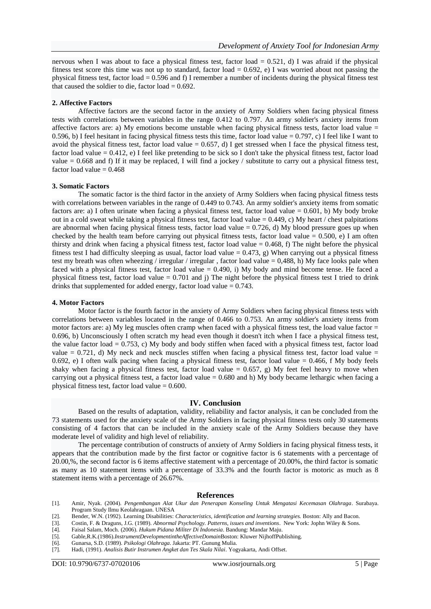nervous when I was about to face a physical fitness test, factor load  $= 0.521$ , d) I was afraid if the physical fitness test score this time was not up to standard, factor load =  $0.692$ , e) I was worried about not passing the physical fitness test, factor load = 0.596 and f) I remember a number of incidents during the physical fitness test that caused the soldier to die, factor  $load = 0.692$ .

#### **2. Affective Factors**

Affective factors are the second factor in the anxiety of Army Soldiers when facing physical fitness tests with correlations between variables in the range 0.412 to 0.797. An army soldier's anxiety items from affective factors are: a) My emotions become unstable when facing physical fitness tests, factor load value  $=$ 0.596, b) I feel hesitant in facing physical fitness tests this time, factor load value =  $0.797$ , c) I feel like I want to avoid the physical fitness test, factor load value  $= 0.657$ , d) I get stressed when I face the physical fitness test, factor load value = 0.412, e) I feel like pretending to be sick so I don't take the physical fitness test, factor load value = 0.668 and f) If it may be replaced, I will find a jockey / substitute to carry out a physical fitness test, factor load value  $= 0.468$ 

#### **3. Somatic Factors**

The somatic factor is the third factor in the anxiety of Army Soldiers when facing physical fitness tests with correlations between variables in the range of 0.449 to 0.743. An army soldier's anxiety items from somatic factors are: a) I often urinate when facing a physical fitness test, factor load value =  $0.601$ , b) My body broke out in a cold sweat while taking a physical fitness test, factor load value =  $0.449$ , c) My heart / chest palpitations are abnormal when facing physical fitness tests, factor load value  $= 0.726$ , d) My blood pressure goes up when checked by the health team before carrying out physical fitness tests, factor load value =  $0.500$ , e) I am often thirsty and drink when facing a physical fitness test, factor load value  $= 0.468$ , f) The night before the physical fitness test I had difficulty sleeping as usual, factor load value =  $0.473$ , g) When carrying out a physical fitness test my breath was often wheezing / irregular / irregular , factor load value = 0,488, h) My face looks pale when faced with a physical fitness test, factor load value  $= 0.490$ , i) My body and mind become tense. He faced a physical fitness test, factor load value = 0.701 and j) The night before the physical fitness test I tried to drink drinks that supplemented for added energy, factor load value  $= 0.743$ .

#### **4. Motor Factors**

Motor factor is the fourth factor in the anxiety of Army Soldiers when facing physical fitness tests with correlations between variables located in the range of 0.466 to 0.753. An army soldier's anxiety items from motor factors are: a) My leg muscles often cramp when faced with a physical fitness test, the load value factor = 0.696, b) Unconsciously I often scratch my head even though it doesn't itch when I face a physical fitness test, the value factor load = 0.753, c) My body and body stiffen when faced with a physical fitness test, factor load value  $= 0.721$ , d) My neck and neck muscles stiffen when facing a physical fitness test, factor load value  $=$ 0.692, e) I often walk pacing when facing a physical fitness test, factor load value  $= 0.466$ , f My body feels shaky when facing a physical fitness test, factor load value  $= 0.657$ , g) My feet feel heavy to move when carrying out a physical fitness test, a factor load value  $= 0.680$  and h) My body became lethargic when facing a physical fitness test, factor load value  $= 0.600$ .

#### **IV. Conclusion**

Based on the results of adaptation, validity, reliability and factor analysis, it can be concluded from the 73 statements used for the anxiety scale of the Army Soldiers in facing physical fitness tests only 30 statements consisting of 4 factors that can be included in the anxiety scale of the Army Soldiers because they have moderate level of validity and high level of reliability.

The percentage contribution of constructs of anxiety of Army Soldiers in facing physical fitness tests, it appears that the contribution made by the first factor or cognitive factor is 6 statements with a percentage of 20.00,%, the second factor is 6 items affective statement with a percentage of 20.00%, the third factor is somatic as many as 10 statement items with a percentage of 33.3% and the fourth factor is motoric as much as 8 statement items with a percentage of 26.67%.

#### **References**

- [1]. Amir, Nyak. (2004). *Pengembangan Alat Ukur dan Penerapan Konseling Untuk Mengatasi Kecemasan Olahraga*. Surabaya. Program Study Ilmu Keolahragaan. UNESA
- [2]. Bender, W.N. (1992). Learning Disabilities: *Characteristics, identification and learning strategies.* Boston: Ally and Bacon.
- [3]. Costin, F. & Draguns, J.G. (1989). *Abnormal Psychology. Patterns, issues and inventions*. New York: Jophn Wiley & Sons.

- [5]. Gable,R.K.(1986).*InstrumentDevelopmentintheAffectiveDomain*Boston: Kluwer NijhoffPublishing.
- 
- [6]. Gunarsa, S.D. (1989). *Psikologi Olahraga*. Jakarta: PT. Gunung Mulia. [7]. Hadi, (1991). *Analisis Butir Instrumen Angket dan Tes Skala Nilai*. Yogyakarta, Andi Offset.

<sup>[4].</sup> Faisal Salam, Moch. (2006). *Hukum Pidana Militer Di Indonesia*. Bandung: Mandar Maju.